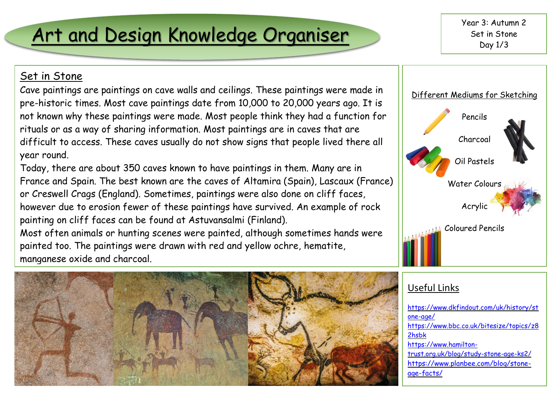## Art and Design Knowledge Organiser

Year 3: Autumn 2 Set in Stone Day 1/3

### Set in Stone

Cave paintings are paintings on cave walls and ceilings. These paintings were made in pre-historic times. Most cave paintings date from 10,000 to 20,000 years ago. It is not known why these paintings were made. Most people think they had a function for rituals or as a way of sharing information. Most paintings are in caves that are difficult to access. These caves usually do not show signs that people lived there all year round.

Today, there are about 350 caves known to have paintings in them. Many are in France and Spain. The best known are the caves of Altamira (Spain), Lascaux (France) or Creswell Crags (England). Sometimes, paintings were also done on cliff faces, however due to erosion fewer of these paintings have survived. An example of rock painting on cliff faces can be found at Astuvansalmi (Finland).

Most often animals or hunting scenes were painted, although sometimes hands were painted too. The paintings were drawn with red and yellow ochre, hematite, manganese oxide and charcoal.





#### Useful Links

[https://www.bbc.co.uk/bitesize/topics/z8](https://www.bbc.co.uk/bitesize/topics/z82hsbk) <u>LIISDR</u><br>[https://www.hamilton](https://www.hamilton-trust.org.uk/blog/study-stone-age-ks2/)ffff [https://www.dkfindout.com/uk/history/st](https://www.dkfindout.com/uk/history/stone-age/) [one-age/](https://www.dkfindout.com/uk/history/stone-age/) [2hsbk](https://www.bbc.co.uk/bitesize/topics/z82hsbk) [trust.org.uk/blog/study-stone-age-ks2/](https://www.hamilton-trust.org.uk/blog/study-stone-age-ks2/) [https://www.planbee.com/blog/stone](https://www.planbee.com/blog/stone-age-facts/)[age-facts/](https://www.planbee.com/blog/stone-age-facts/)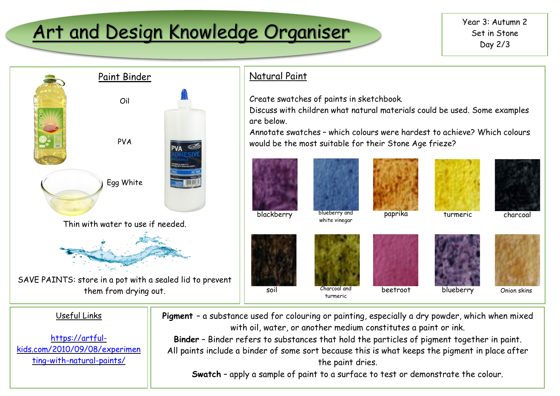# Art and Design Knowledge Organiser Wear 3: Autumn 2



### Natural Paint

Create swatches of paints in sketchbook.

Discuss with children what natural materials could be used. Some examples are below.

Annotate swatches – which colours were hardest to achieve? Which colours would be the most suitable for their Stone Age frieze?



#### Useful Links [https://artful](https://artful-kids.com/2010/09/08/experimenting-with-natural-paints/)[kids.com/2010/09/08/experimen](https://artful-kids.com/2010/09/08/experimenting-with-natural-paints/) [ting-with-natural-paints/](https://artful-kids.com/2010/09/08/experimenting-with-natural-paints/) **Pigment** – a substance used for colouring or painting, especially a dry powder, which when mixed with oil, water, or another medium constitutes a paint or ink. **Binder** – Binder refers to substances that hold the particles of pigment together in paint. All paints include a binder of some sort because this is what keeps the pigment in place after the paint dries. **Swatch** – apply a sample of paint to a surface to test or demonstrate the colour.